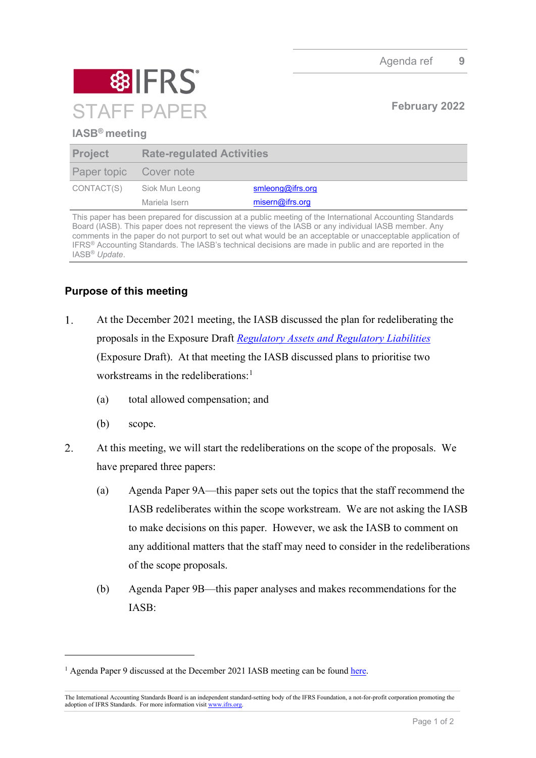

## **IASB® meeting**

| <b>Project</b>         | <b>Rate-regulated Activities</b> |                  |
|------------------------|----------------------------------|------------------|
| Paper topic Cover note |                                  |                  |
| CONTACT(S)             | Siok Mun Leong                   | smleong@ifrs.org |
|                        | Mariela Isern                    | misern@ifrs.org  |

This paper has been prepared for discussion at a public meeting of the International Accounting Standards Board (IASB). This paper does not represent the views of the IASB or any individual IASB member. Any comments in the paper do not purport to set out what would be an acceptable or unacceptable application of IFRS® Accounting Standards. The IASB's technical decisions are made in public and are reported in the IASB® *Update*.

## **Purpose of this meeting**

- $1.$ At the December 2021 meeting, the IASB discussed the plan for redeliberating the proposals in the Exposure Draft*[Regulatory Assets and Regulatory Liabilities](https://www.ifrs.org/content/dam/ifrs/project/rate-regulated-activities/published-documents/ed2021-rra.pdf)* (Exposure Draft). At that meeting the IASB discussed plans to prioritise two workstreams in the redeliberations: [1](#page-0-0)
	- (a) total allowed compensation; and
	- (b) scope.
- 2. At this meeting, we will start the redeliberations on the scope of the proposals. We have prepared three papers:
	- (a) Agenda Paper 9A—this paper sets out the topics that the staff recommend the IASB redeliberates within the scope workstream. We are not asking the IASB to make decisions on this paper. However, we ask the IASB to comment on any additional matters that the staff may need to consider in the redeliberations of the scope proposals.
	- (b) Agenda Paper 9B—this paper analyses and makes recommendations for the IASB:

<span id="page-0-0"></span><sup>&</sup>lt;sup>1</sup> Agenda Paper 9 discussed at the December 2021 IASB meeting can be foun[d here.](https://www.ifrs.org/content/dam/ifrs/meetings/2021/december/iasb/ap9-rate-regulated-activities-plan-for-redeliberations.pdf)

The International Accounting Standards Board is an independent standard-setting body of the IFRS Foundation, a not-for-profit corporation promoting the adoption of IFRS Standards. For more information visit [www.ifrs.org.](http://www.ifrs.org/)